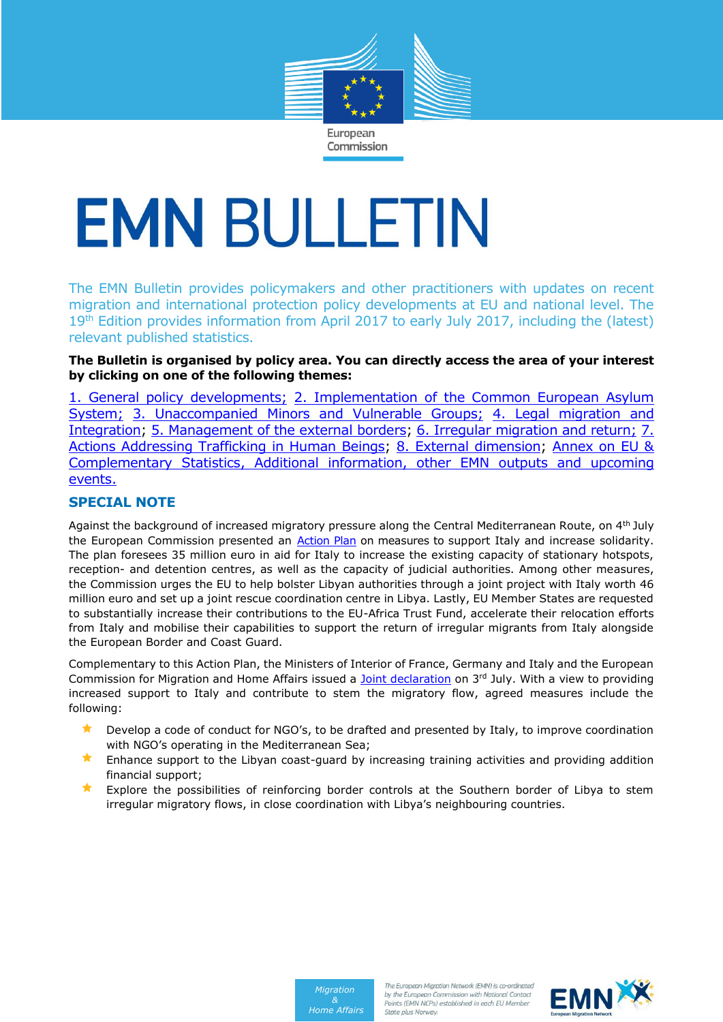

Commission

# **EMN BULLETIN**

The EMN Bulletin provides policymakers and other practitioners with updates on recent migration and international protection policy developments at EU and national level. The 19<sup>th</sup> Edition provides information from April 2017 to early July 2017, including the (latest) relevant published statistics.

## **The Bulletin is organised by policy area. You can directly access the area of your interest by clicking on one of the following themes:**

[1. General policy developments;](#page-1-0) [2. Implementation of the Common European Asylum](#page-1-1)  [System;](#page-1-1) [3. Unaccompanied Minors and Vulnerable Groups;](#page-3-0) 4. Legal migration and [Integration;](#page-4-0) [5. Management of the external borders;](#page-7-0) 6. Irregular migration and return; [7.](#page-10-0)  [Actions Addressing Trafficking in Human Beings;](#page-10-0) [8. External dimension;](#page-11-0) [Annex on EU &](#page-11-1)  [Complementary Statistics, Additional information, other EMN outputs and upcoming](#page-11-1)  [events.](#page-11-1)

# **SPECIAL NOTE**

Against the background of increased migratory pressure along the Central Mediterranean Route, on 4<sup>th</sup> July the European Commission presented an [Action Plan](https://ec.europa.eu/home-affairs/sites/homeaffairs/files/what-we-do/policies/european-agenda-migration/20170704_action_plan_on_the_central_mediterranean_route_en.pdf) on measures to support Italy and increase solidarity. The plan foresees 35 million euro in aid for Italy to increase the existing capacity of stationary hotspots, reception- and detention centres, as well as the capacity of judicial authorities. Among other measures, the Commission urges the EU to help bolster Libyan authorities through a joint project with Italy worth 46 million euro and set up a joint rescue coordination centre in Libya. Lastly, EU Member States are requested to substantially increase their contributions to the EU-Africa Trust Fund, accelerate their relocation efforts from Italy and mobilise their capabilities to support the return of irregular migrants from Italy alongside the European Border and Coast Guard.

Complementary to this Action Plan, the Ministers of Interior of France, Germany and Italy and the European Commission for Migration and Home Affairs issued a [Joint declaration](http://europa.eu/rapid/press-release_STATEMENT-17-1876_en.htm) on 3<sup>rd</sup> July. With a view to providing increased support to Italy and contribute to stem the migratory flow, agreed measures include the following:

- Develop a code of conduct for NGO's, to be drafted and presented by Italy, to improve coordination with NGO's operating in the Mediterranean Sea;
- **K** Enhance support to the Libyan coast-guard by increasing training activities and providing addition financial support;
- **Explore the possibilities of reinforcing border controls at the Southern border of Libya to stem** irregular migratory flows, in close coordination with Libya's neighbouring countries.



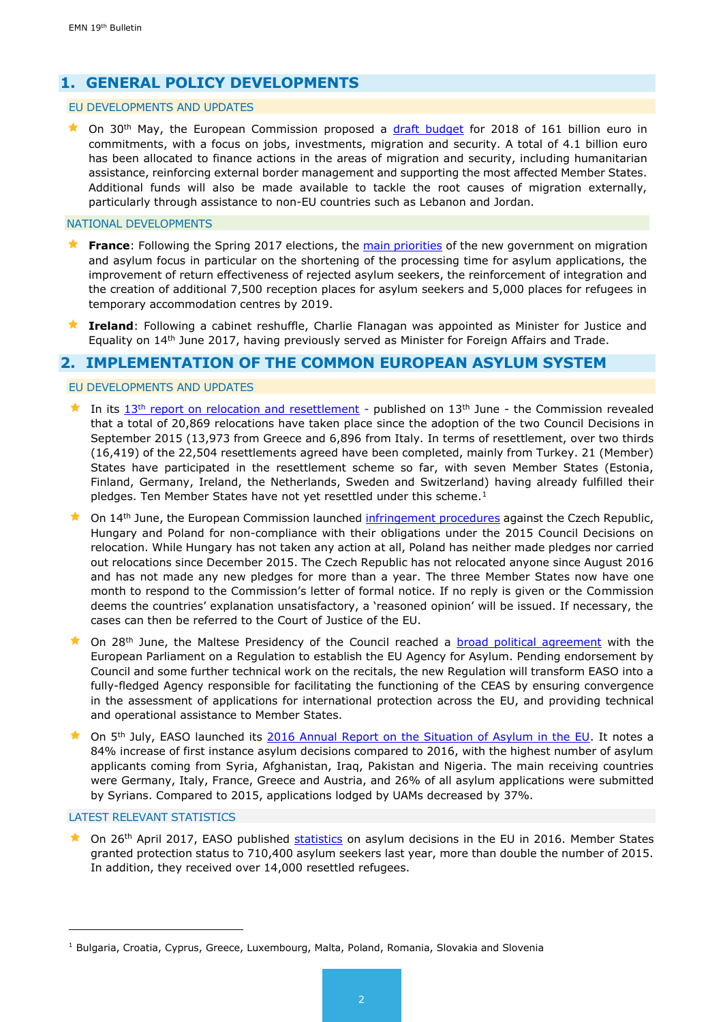# <span id="page-1-0"></span>**1. GENERAL POLICY DEVELOPMENTS**

#### EU DEVELOPMENTS AND UPDATES

 $\star$  On 30<sup>th</sup> May, the European Commission proposed a [draft budget](http://ec.europa.eu/budget/biblio/documents/2018/2018_en.cfm#draft_budget01) for 2018 of 161 billion euro in commitments, with a focus on jobs, investments, migration and security. A total of 4.1 billion euro has been allocated to finance actions in the areas of migration and security, including humanitarian assistance, reinforcing external border management and supporting the most affected Member States. Additional funds will also be made available to tackle the root causes of migration externally, particularly through assistance to non-EU countries such as Lebanon and Jordan.

#### NATIONAL DEVELOPMENTS

- **France:** Following the Spring 2017 elections, the [main priorities](http://www.gouvernement.fr/partage/9326-dossier-de-presse-garantir-le-droit-d-asile-mieux-maitriser-les-flux-migratoires) of the new government on migration and asylum focus in particular on the shortening of the processing time for asylum applications, the improvement of return effectiveness of rejected asylum seekers, the reinforcement of integration and the creation of additional 7,500 reception places for asylum seekers and 5,000 places for refugees in temporary accommodation centres by 2019.
- **Ireland**: Following a cabinet reshuffle, Charlie Flanagan was appointed as Minister for Justice and Equality on 14<sup>th</sup> June 2017, having previously served as Minister for Foreign Affairs and Trade.

## <span id="page-1-1"></span>**2. IMPLEMENTATION OF THE COMMON EUROPEAN ASYLUM SYSTEM**

#### EU DEVELOPMENTS AND UPDATES

- In its  $13<sup>th</sup>$  [report on relocation and resettlement](https://ec.europa.eu/home-affairs/sites/homeaffairs/files/what-we-do/policies/european-agenda-migration/20170613_thirteenth_report_on_relocation_and_resettlement_en.pdf) published on  $13<sup>th</sup>$  June the Commission revealed that a total of 20,869 relocations have taken place since the adoption of the two Council Decisions in September 2015 (13,973 from Greece and 6,896 from Italy. In terms of resettlement, over two thirds (16,419) of the 22,504 resettlements agreed have been completed, mainly from Turkey. 21 (Member) States have participated in the resettlement scheme so far, with seven Member States (Estonia, Finland, Germany, Ireland, the Netherlands, Sweden and Switzerland) having already fulfilled their pledges. Ten Member States have not yet resettled under this scheme. $<sup>1</sup>$ </sup>
- On 14th June, the European Commission launched [infringement procedures](http://europa.eu/rapid/press-release_IP-17-1607_en.htm) against the Czech Republic, Hungary and Poland for non-compliance with their obligations under the 2015 Council Decisions on relocation. While Hungary has not taken any action at all, Poland has neither made pledges nor carried out relocations since December 2015. The Czech Republic has not relocated anyone since August 2016 and has not made any new pledges for more than a year. The three Member States now have one month to respond to the Commission's letter of formal notice. If no reply is given or the Commission deems the countries' explanation unsatisfactory, a 'reasoned opinion' will be issued. If necessary, the cases can then be referred to the Court of Justice of the EU.
- ★ On 28<sup>th</sup> June, the Maltese Presidency of the Council reached a **broad political agreement** with the European Parliament on a Regulation to establish the EU Agency for Asylum. Pending endorsement by Council and some further technical work on the recitals, the new Regulation will transform EASO into a fully-fledged Agency responsible for facilitating the functioning of the CEAS by ensuring convergence in the assessment of applications for international protection across the EU, and providing technical and operational assistance to Member States.
- ★ On 5<sup>th</sup> July, EASO launched its [2016 Annual Report on the Situation of Asylum in the EU.](https://www.easo.europa.eu/highlights-easo-annual-report-2016) It notes a 84% increase of first instance asylum decisions compared to 2016, with the highest number of asylum applicants coming from Syria, Afghanistan, Iraq, Pakistan and Nigeria. The main receiving countries were Germany, Italy, France, Greece and Austria, and 26% of all asylum applications were submitted by Syrians. Compared to 2015, applications lodged by UAMs decreased by 37%.

#### LATEST RELEVANT STATISTICS

-

★ On 26<sup>th</sup> April 2017, EASO published [statistics](http://www.europeanmigrationlaw.eu/documents/Eurostat-AsylumDecisions-2016.pdf) on asylum decisions in the EU in 2016. Member States granted protection status to 710,400 asylum seekers last year, more than double the number of 2015. In addition, they received over 14,000 resettled refugees.

 $<sup>1</sup>$  Bulgaria, Croatia, Cyprus, Greece, Luxembourg, Malta, Poland, Romania, Slovakia and Slovenia</sup>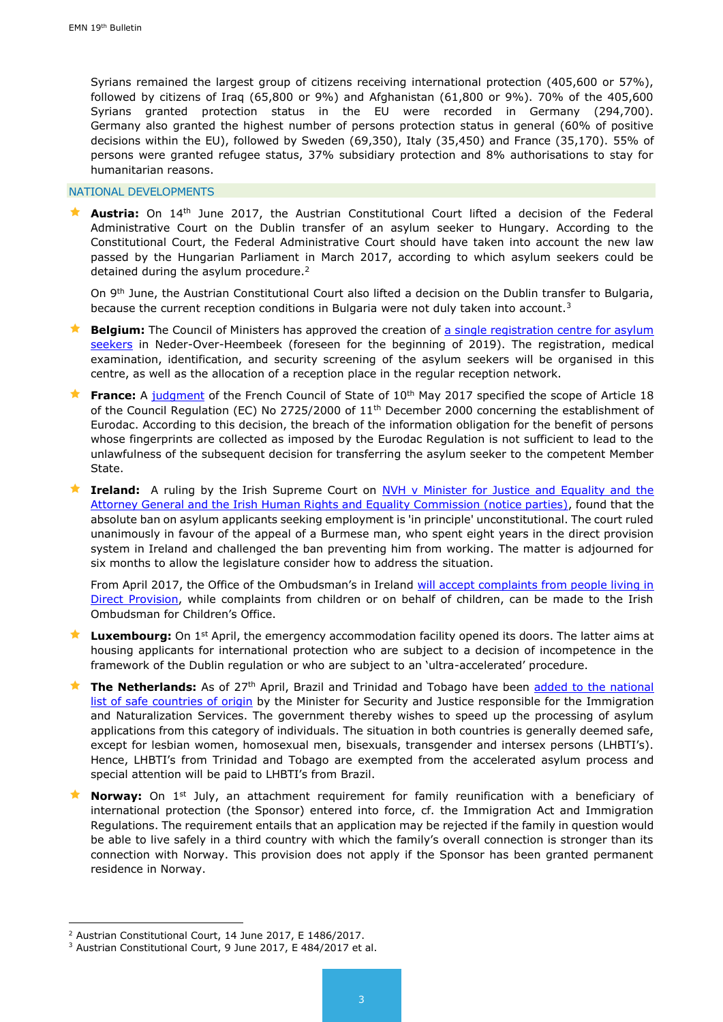Syrians remained the largest group of citizens receiving international protection (405,600 or 57%), followed by citizens of Iraq (65,800 or 9%) and Afghanistan (61,800 or 9%). 70% of the 405,600 Syrians granted protection status in the EU were recorded in Germany (294,700). Germany also granted the highest number of persons protection status in general (60% of positive decisions within the EU), followed by Sweden (69,350), Italy (35,450) and France (35,170). 55% of persons were granted refugee status, 37% subsidiary protection and 8% authorisations to stay for humanitarian reasons.

#### NATIONAL DEVELOPMENTS

 **Austria:** On 14th June 2017, the Austrian Constitutional Court lifted a decision of the Federal Administrative Court on the Dublin transfer of an asylum seeker to Hungary. According to the Constitutional Court, the Federal Administrative Court should have taken into account the new law passed by the Hungarian Parliament in March 2017, according to which asylum seekers could be detained during the asylum procedure.<sup>2</sup>

On 9<sup>th</sup> June, the Austrian Constitutional Court also lifted a decision on the Dublin transfer to Bulgaria, because the current reception conditions in Bulgaria were not duly taken into account.<sup>3</sup>

- **Belgium:** The Council of Ministers has approved the creation of [a single registration centre for asylum](https://emnbelgium.be/news/council-ministers-approves-creation-registration-centre-asylum-seekers)  [seekers](https://emnbelgium.be/news/council-ministers-approves-creation-registration-centre-asylum-seekers) in Neder-Over-Heembeek (foreseen for the beginning of 2019). The registration, medical examination, identification, and security screening of the asylum seekers will be organised in this centre, as well as the allocation of a reception place in the regular reception network.
- **France:** A [judgment](https://www.legifrance.gouv.fr/affichJuriAdmin.do?oldAction=rechJuriAdmin&idTexte=CETATEXT000034651745&fastPos=1) of the French Council of State of 10<sup>th</sup> May 2017 specified the scope of Article 18 of the Council Regulation (EC) No 2725/2000 of 11th December 2000 concerning the establishment of Eurodac. According to this decision, the breach of the information obligation for the benefit of persons whose fingerprints are collected as imposed by the Eurodac Regulation is not sufficient to lead to the unlawfulness of the subsequent decision for transferring the asylum seeker to the competent Member State.
- **Ireland:** A ruling by the Irish Supreme Court on [NVH v Minister for Justice](http://www.courts.ie/Judgments.nsf/09859e7a3f34669680256ef3004a27de/bba87f6e90ea3c5d80258130004199fe?OpenDocument) and Equality and the [Attorney General and the Irish Human Rights and Equality Commission \(notice parties\),](http://www.courts.ie/Judgments.nsf/09859e7a3f34669680256ef3004a27de/bba87f6e90ea3c5d80258130004199fe?OpenDocument) found that the absolute ban on asylum applicants seeking employment is 'in principle' unconstitutional. The court ruled unanimously in favour of the appeal of a Burmese man, who spent eight years in the direct provision system in Ireland and challenged the ban preventing him from working. The matter is adjourned for six months to allow the legislature consider how to address the situation.

From April 2017, the Office of the Ombudsman's in Ireland will accept complaints from people living in [Direct Provision,](https://www.ombudsman.ie/en/News/Media-Releases/2017-Media-Releases/Ombudsman-and-Ombudsman-for-Children-can-now-investigate-complaints-from-those-in-Direct-Provision.html) while complaints from children or on behalf of children, can be made to the Irish Ombudsman for Children's Office.

- **Luxembourg:** On 1st April, the emergency accommodation facility opened its doors. The latter aims at housing applicants for international protection who are subject to a decision of incompetence in the framework of the Dublin regulation or who are subject to an 'ultra-accelerated' procedure.
- **★ The Netherlands:** As of 27<sup>th</sup> April, Brazil and Trinidad and Tobago have been added to the national [list of safe countries of origin](https://ind.nl/en/news/pages/brazil-and-trinidad-and-tobago-are-also-safe-countries-of-origin-now.aspx) by the Minister for Security and Justice responsible for the Immigration and Naturalization Services. The government thereby wishes to speed up the processing of asylum applications from this category of individuals. The situation in both countries is generally deemed safe, except for lesbian women, homosexual men, bisexuals, transgender and intersex persons (LHBTI's). Hence, LHBTI's from Trinidad and Tobago are exempted from the accelerated asylum process and special attention will be paid to LHBTI's from Brazil.
- **Norway:** On 1<sup>st</sup> July, an attachment requirement for family reunification with a beneficiary of international protection (the Sponsor) entered into force, cf. the Immigration Act and Immigration Regulations. The requirement entails that an application may be rejected if the family in question would be able to live safely in a third country with which the family's overall connection is stronger than its connection with Norway. This provision does not apply if the Sponsor has been granted permanent residence in Norway.

1

<sup>2</sup> Austrian Constitutional Court, 14 June 2017, E 1486/2017.

<sup>3</sup> Austrian Constitutional Court, 9 June 2017, E 484/2017 et al.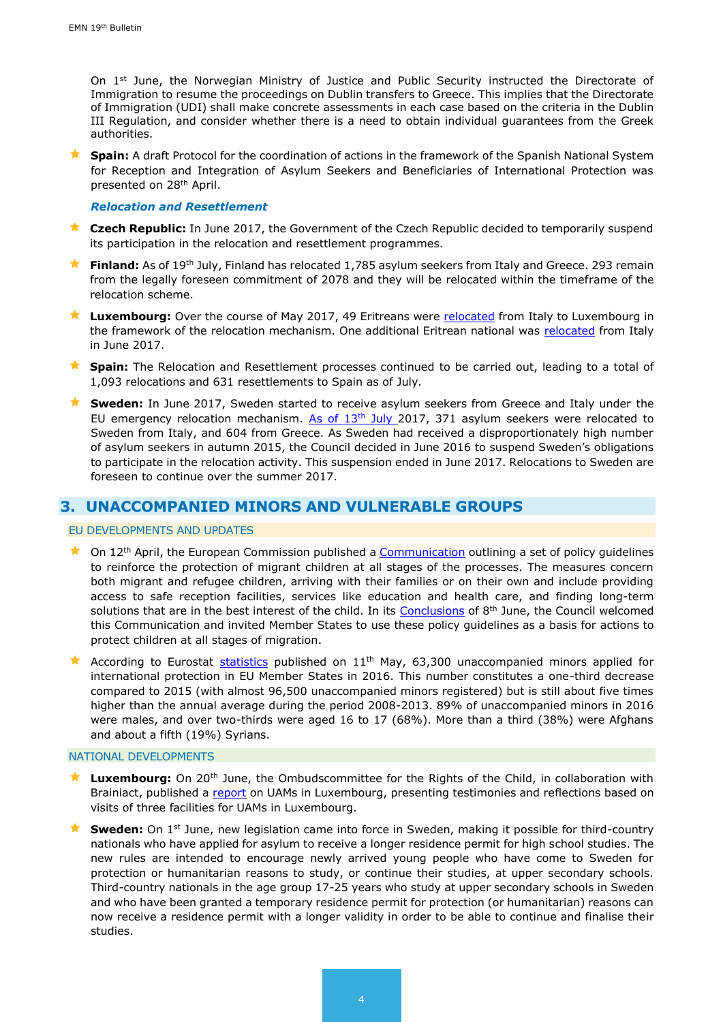On  $1<sup>st</sup>$  June, the Norwegian Ministry of Justice and Public Security instructed the Directorate of Immigration to resume the proceedings on Dublin transfers to Greece. This implies that the Directorate of Immigration (UDI) shall make concrete assessments in each case based on the criteria in the Dublin III Regulation, and consider whether there is a need to obtain individual guarantees from the Greek authorities.

**Spain:** A draft Protocol for the coordination of actions in the framework of the Spanish National System for Reception and Integration of Asylum Seekers and Beneficiaries of International Protection was presented on 28th April.

#### *Relocation and Resettlement*

- **★ Czech Republic:** In June 2017, the Government of the Czech Republic decided to temporarily suspend its participation in the relocation and resettlement programmes.
- **★ Finland:** As of 19<sup>th</sup> July, Finland has relocated 1,785 asylum seekers from Italy and Greece. 293 remain from the legally foreseen commitment of 2078 and they will be relocated within the timeframe of the relocation scheme.
- **★ Luxembourg:** Over the course of May 2017, 49 Eritreans were [relocated](http://www.statistiques.public.lu/fr/actualites/population/population/2017/06/20170613/20170613.pdf) from Italy to Luxembourg in the framework of the relocation mechanism. One additional Eritrean national was [relocated](http://www.statistiques.public.lu/fr/actualites/population/population/2017/07/20170718/20170718.pdf) from Italy in June 2017.
- **Spain:** The Relocation and Resettlement processes continued to be carried out, leading to a total of 1,093 relocations and 631 resettlements to Spain as of July.
- **★ Sweden:** In June 2017, Sweden started to receive asylum seekers from Greece and Italy under the EU emergency relocation mechanism. As of  $13<sup>th</sup>$  July 2017, 371 asylum seekers were relocated to Sweden from Italy, and 604 from Greece. As Sweden had received a disproportionately high number of asylum seekers in autumn 2015, the Council decided in June 2016 to suspend Sweden's obligations to participate in the relocation activity. This suspension ended in June 2017. Relocations to Sweden are foreseen to continue over the summer 2017.

## <span id="page-3-0"></span>**3. UNACCOMPANIED MINORS AND VULNERABLE GROUPS**

#### EU DEVELOPMENTS AND UPDATES

- $\star$  On 12<sup>th</sup> April, the European Commission published a [Communication](https://ec.europa.eu/home-affairs/sites/homeaffairs/files/what-we-do/policies/european-agenda-migration/20170412_communication_on_the_protection_of_children_in_migration_en.pdf) outlining a set of policy guidelines to reinforce the protection of migrant children at all stages of the processes. The measures concern both migrant and refugee children, arriving with their families or on their own and include providing access to safe reception facilities, services like education and health care, and finding long-term solutions that are in the best interest of the child. In its [Conclusions](http://www.europeanmigrationlaw.eu/documents/Conclusions%20of%20the%20Council%20-%20Protection%20of%20children%20in%20migration.pdf) of 8<sup>th</sup> June, the Council welcomed this Communication and invited Member States to use these policy guidelines as a basis for actions to protect children at all stages of migration.
- According to Eurostat [statistics](http://www.europeanmigrationlaw.eu/documents/Asylum%20applicants%20considered%20to%20be%20unaccompanied%20minors.pdf) published on 11<sup>th</sup> May, 63,300 unaccompanied minors applied for international protection in EU Member States in 2016. This number constitutes a one-third decrease compared to 2015 (with almost 96,500 unaccompanied minors registered) but is still about five times higher than the annual average during the period 2008-2013. 89% of unaccompanied minors in 2016 were males, and over two-thirds were aged 16 to 17 (68%). More than a third (38%) were Afghans and about a fifth (19%) Syrians.

#### NATIONAL DEVELOPMENTS

- **Luxembourg:** On 20th June, the Ombudscommittee for the Rights of the Child, in collaboration with Brainiact, published a [report](http://ork.lu/files/PriseDePositionRapports/Rapport%20MNA_SG-RS_version%20web.pdf) on UAMs in Luxembourg, presenting testimonies and reflections based on visits of three facilities for UAMs in Luxembourg.
- **Sweden:** On 1<sup>st</sup> June, new legislation came into force in Sweden, making it possible for third-country nationals who have applied for asylum to receive a longer residence permit for high school studies. The new rules are intended to encourage newly arrived young people who have come to Sweden for protection or humanitarian reasons to study, or continue their studies, at upper secondary schools. Third-country nationals in the age group 17-25 years who study at upper secondary schools in Sweden and who have been granted a temporary residence permit for protection (or humanitarian) reasons can now receive a residence permit with a longer validity in order to be able to continue and finalise their studies.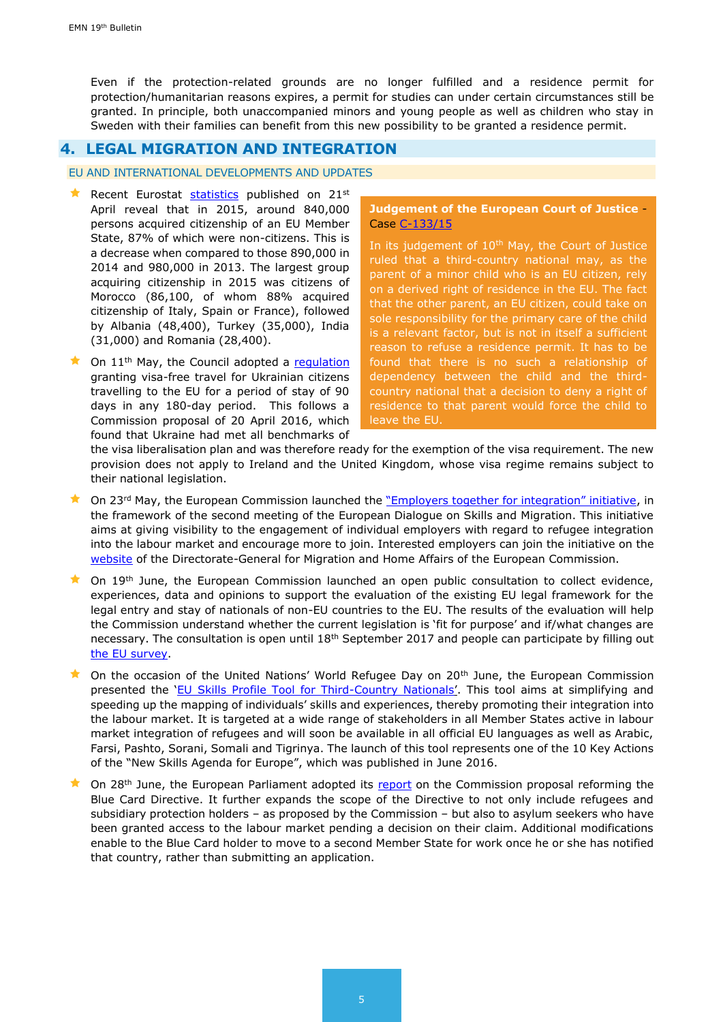Even if the protection-related grounds are no longer fulfilled and a residence permit for protection/humanitarian reasons expires, a permit for studies can [under certain circumstances](https://www.migrationsverket.se/English/Private-individuals/Protection-and-asylum-in-Sweden/Nyheter/2017-06-07-Opportunity-for-a-longer-residence-permit-for-high-school-studies.html) still be granted. In principle, both unaccompanied minors and young people as well as children who stay in Sweden with their families can benefit from this new possibility to be granted a residence permit.

# <span id="page-4-0"></span>**4. LEGAL MIGRATION AND INTEGRATION**

#### EU AND INTERNATIONAL DEVELOPMENTS AND UPDATES

- Recent Eurostat [statistics](http://www.europeanmigrationlaw.eu/documents/Eurostat-Citizenship.pdf) published on  $21^{st}$ April reveal that in 2015, around 840,000 persons acquired citizenship of an EU Member State, 87% of which were non-citizens. This is a decrease when compared to those 890,000 in 2014 and 980,000 in 2013. The largest group acquiring citizenship in 2015 was citizens of Morocco (86,100, of whom 88% acquired citizenship of Italy, Spain or France), followed by Albania (48,400), Turkey (35,000), India (31,000) and Romania (28,400).
- $\star$  On 11<sup>th</sup> May, the Council adopted a [regulation](http://www.consilium.europa.eu/en/press/press-releases/2017/05/11-visa-liberalisation-ukraine/?utm_source=dsms-auto&utm_medium=email&utm_campaign=Visas%3a+Council+adopts+regulation+on+visa+liberalisation+for+Ukrainian+citizens) granting visa-free travel for Ukrainian citizens travelling to the EU for a period of stay of 90 days in any 180-day period. This follows a Commission proposal of 20 April 2016, which found that Ukraine had met all benchmarks of

#### **Judgement of the European Court of Justice** - Case [C-133/15](http://curia.europa.eu/juris/document/document.jsf?text=&docid=190502&pageIndex=0&doclang=en&mode=req&dir=&occ=first&part=1&cid=769844)

In its judgement of  $10<sup>th</sup>$  May, the Court of Justice ruled that a third-country national may, as the parent of a minor child who is an EU citizen, rely on a derived right of residence in the EU. The fact that the other parent, an EU citizen, could take on sole responsibility for the primary care of the child is a relevant factor, but is not in itself a sufficient reason to refuse a residence permit. It has to be found that there is no such a relationship of dependency between the child and the thirdcountry national that a decision to deny a right of residence to that parent would force the child to leave the EU.

the visa liberalisation plan and was therefore ready for the exemption of the visa requirement. The new provision does not apply to Ireland and the United Kingdom, whose visa regime remains subject to their national legislation.

- On 23<sup>rd</sup> May, the European Commission launched the "*Employers together for integration" initiative*, in the framework of the second meeting of the European Dialogue on Skills and Migration. This initiative aims at giving visibility to the engagement of individual employers with regard to refugee integration into the labour market and encourage more to join. Interested employers can join the initiative on the [website](https://ec.europa.eu/eusurvey/runner/employersforintegration) of the Directorate-General for Migration and Home Affairs of the European Commission.
- **Comet 19th June, the European Commission launched an open public consultation to collect evidence,** experiences, data and opinions to support the evaluation of the existing EU legal framework for the legal entry and stay of nationals of non-EU countries to the EU. The results of the evaluation will help the Commission understand whether the current legislation is 'fit for purpose' and if/what changes are necessary. The consultation is open until 18th September 2017 and people can participate by filling out [the EU survey.](https://ec.europa.eu/eusurvey/runner/Legal-migration-by-non-EU-citizens-Public-Consultation)
- On the occasion of the United Nations' World Refugee Day on 20<sup>th</sup> June, the European Commission presented the '[EU Skills Profile Tool for Third-Country Nationals](http://www.europeanmigrationlaw.eu/en/articles/news/european-commission-integration-eu-skills-profile-tool-for-non-eu-nationals)'. This tool aims at simplifying and speeding up the mapping of individuals' skills and experiences, thereby promoting their integration into the labour market. It is targeted at a wide range of stakeholders in all Member States active in labour market integration of refugees and will soon be available in all official EU languages as well as Arabic, Farsi, Pashto, Sorani, Somali and Tigrinya. The launch of this tool represents one of the 10 Key Actions of the "New Skills Agenda for Europe", which was published in June 2016.
- On 28<sup>th</sup> June, the European Parliament adopted its [report](http://www.europarl.europa.eu/sides/getDoc.do?pubRef=-//EP//NONSGML+REPORT+A8-2017-0240+0+DOC+PDF+V0//EN) on the Commission proposal reforming the Blue Card Directive. It further expands the scope of the Directive to not only include refugees and subsidiary protection holders – as proposed by the Commission – but also to asylum seekers who have been granted access to the labour market pending a decision on their claim. Additional modifications enable to the Blue Card holder to move to a second Member State for work once he or she has notified that country, rather than submitting an application.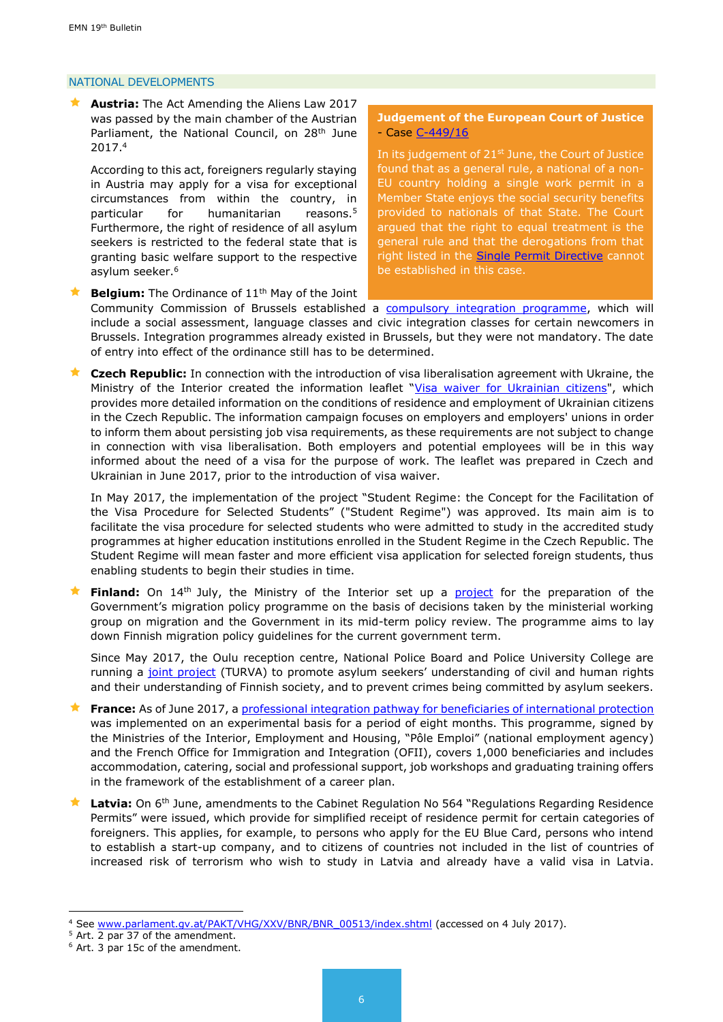#### NATIONAL DEVELOPMENTS

 **Austria:** The Act Amending the Aliens Law 2017 was passed by the main chamber of the Austrian Parliament, the National Council, on 28<sup>th</sup> June 2017.<sup>4</sup>

According to this act, foreigners regularly staying in Austria may apply for a visa for exceptional circumstances from within the country, in particular for humanitarian reasons.<sup>5</sup> Furthermore, the right of residence of all asylum seekers is restricted to the federal state that is granting basic welfare support to the respective asylum seeker.<sup>6</sup>

**Belgium:** The Ordinance of 11<sup>th</sup> May of the Joint

#### **Judgement of the European Court of Justice** - Case [C-449/16](http://curia.europa.eu/juris/document/document_print.jsf?doclang=EN&text=&pageIndex=0&part=1&mode=lst&docid=192044&occ=first&dir=&cid=214505)

In its judgement of 21<sup>st</sup> June, the Court of Justice found that as a general rule, a national of a non-EU country holding a single work permit in a Member State enjoys the social security benefits provided to nationals of that State. The Court argued that the right to equal treatment is the general rule and that the derogations from that right listed in the **Single Permit Directive** cannot be established in this case.

Community Commission of Brussels established a [compulsory integration programme,](https://emnbelgium.be/news/integration-programme-become-mandatory-brussels-capital) which will include a social assessment, language classes and civic integration classes for certain newcomers in Brussels. Integration programmes already existed in Brussels, but they were not mandatory. The date of entry into effect of the ordinance still has to be determined.

 **Czech Republic:** In connection with the introduction of visa liberalisation agreement with Ukraine, the Ministry of the Interior created the information leaflet "[Visa waiver for Ukrainian citizens"](http://www.mvcr.cz/clanek/bezvizovy-styk-s-ukrajinou.aspx), which provides more detailed information on the conditions of residence and employment of Ukrainian citizens in the Czech Republic. The information campaign focuses on employers and employers' unions in order to inform them about persisting job visa requirements, as these requirements are not subject to change in connection with visa liberalisation. Both employers and potential employees will be in this way informed about the need of a visa for the purpose of work. The leaflet was prepared in Czech and Ukrainian in June 2017, prior to the introduction of visa waiver.

In May 2017, the implementation of the project "Student Regime: the Concept for the Facilitation of the Visa Procedure for Selected Students" ("Student Regime") was approved. Its main aim is to facilitate the visa procedure for selected students who were admitted to study in the accredited study programmes at higher education institutions enrolled in the Student Regime in the Czech Republic. The Student Regime will mean faster and more efficient visa application for selected foreign students, thus enabling students to begin their studies in time.

 **Finland:** On 14th July, the Ministry of the Interior set up a [project](http://intermin.fi/en/article/-/asset_publisher/maahanmuuttopoliittisen-ohjelman-valmistelu-alkaa) for the preparation of the Government's migration policy programme on the basis of decisions taken by the ministerial working group on migration and the Government in its mid-term policy review. The programme aims to lay down Finnish migration policy guidelines for the current government term.

Since May 2017, the Oulu reception centre, National Police Board and Police University College are running a [joint project](http://www.migri.fi/for_the_media/bulletins/press_releases/press_releases/1/0/turva_project_seeks_to_promote_asylum_seekers_integration_into_finnish_society_73242) (TURVA) to promote asylum seekers' understanding of civil and human rights and their understanding of Finnish society, and to prevent crimes being committed by asylum seekers.

- **France:** As of June 2017, a [professional integration pathway for beneficiaries of international protection](http://www.cohesion-territoires.gouv.fr/IMG/pdf/2017.05.03_accord_cadre_national.pdf) was implemented on an experimental basis for a period of eight months. This programme, signed by the Ministries of the Interior, Employment and Housing, "Pôle Emploi" (national employment agency) and the French Office for Immigration and Integration (OFII), covers 1,000 beneficiaries and includes accommodation, catering, social and professional support, job workshops and graduating training offers in the framework of the establishment of a career plan.
- Latvia: On 6<sup>th</sup> June, amendments to the Cabinet Regulation No 564 "Regulations Regarding Residence Permits" were issued, which provide for simplified receipt of residence permit for certain categories of foreigners. This applies, for example, to persons who apply for the EU Blue Card, persons who intend to establish a start-up company, and to citizens of countries not included in the list of countries of increased risk of terrorism who wish to study in Latvia and already have a valid visa in Latvia.

1

<sup>&</sup>lt;sup>4</sup> See [www.parlament.gv.at/PAKT/VHG/XXV/BNR/BNR\\_00513/index.shtml](http://www.parlament.gv.at/PAKT/VHG/XXV/BNR/BNR_00513/index.shtml) (accessed on 4 July 2017).

 $5$  Art. 2 par 37 of the amendment.

<sup>6</sup> Art. 3 par 15c of the amendment.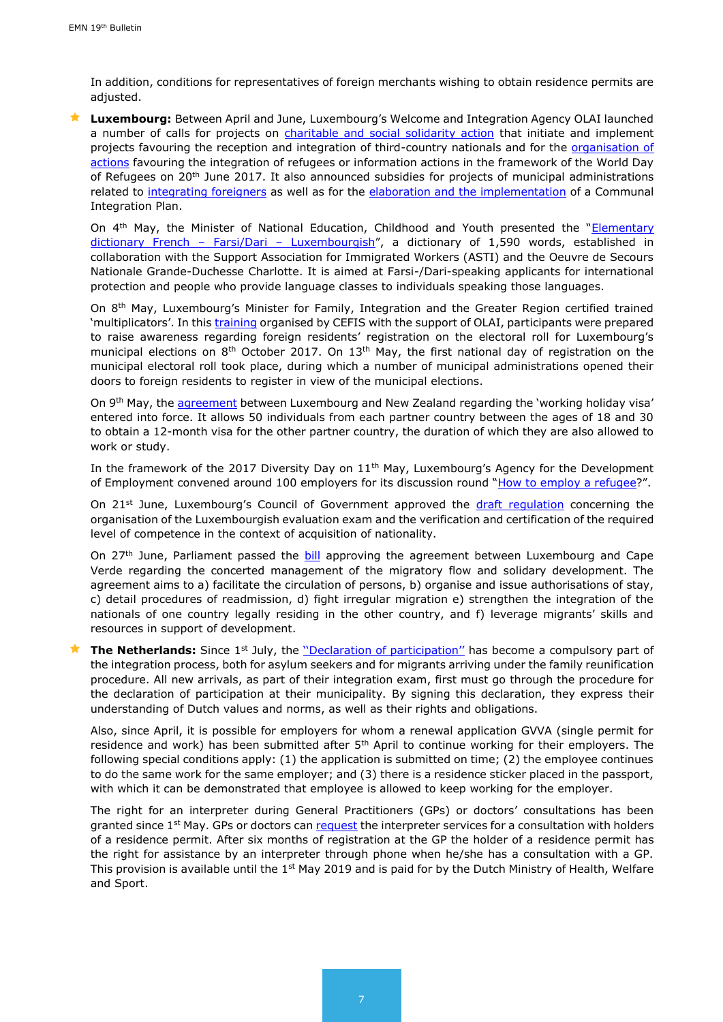In addition, conditions for representatives of foreign merchants wishing to obtain residence permits are adjusted.

 **Luxembourg:** Between April and June, Luxembourg's Welcome and Integration Agency OLAI launched a number of calls for projects on [charitable and social solidarity action](http://www.olai.public.lu/fr/actualites/2017/04/appel-a-projet-asbl-subsides/index.html) that initiate and implement projects favouring the reception and integration of third-country nationals and for the *organisation of* [actions](http://www.olai.public.lu/fr/actualites/2017/05/circulaire-3480/circulaire-3480.pdf) favouring the integration of refugees or information actions in the framework of the World Day of Refugees on 20<sup>th</sup> June 2017. It also announced subsidies for projects of municipal administrations related to [integrating foreigners](http://www.olai.public.lu/fr/publications/programmes-planactions-campagnes/subsides-communes/circulaire-3474.pdf) as well as for the [elaboration and the implementation](http://www.olai.public.lu/fr/publications/programmes-planactions-campagnes/pci/circulaire-3475.pdf) of a Communal Integration Plan.

On 4<sup>th</sup> May, the Minister of National Education, Childhood and Youth presented the "Elementary [dictionary French](http://www.men.public.lu/fr/actualites/articles/communiques-conference-presse/2017/05/04-dictionnaire/index.html) - Farsi/Dari - Luxembourgish", a dictionary of 1,590 words, established in collaboration with the Support Association for Immigrated Workers (ASTI) and the Oeuvre de Secours Nationale Grande-Duchesse Charlotte. It is aimed at Farsi-/Dari-speaking applicants for international protection and people who provide language classes to individuals speaking those languages.

On 8<sup>th</sup> May, Luxembourg's Minister for Family, Integration and the Greater Region certified trained 'multiplicators'. In this [training](http://www.gouvernement.lu/6959870/09-cahen-diplomes) organised by CEFIS with the support of OLAI, participants were prepared to raise awareness regarding foreign residents' registration on the electoral roll for Luxembourg's municipal elections on 8<sup>th</sup> October 2017. On 13<sup>th</sup> May, the first national day of registration on the municipal electoral roll took place, during which a number of municipal administrations opened their doors to foreign residents to register in view of the municipal elections.

On 9<sup>th</sup> May, the [agreement](http://www.gouvernement.lu/6839518/28-working-holiday-visa) between Luxembourg and New Zealand regarding the 'working holiday visa' entered into force. It allows 50 individuals from each partner country between the ages of 18 and 30 to obtain a 12-month visa for the other partner country, the duration of which they are also allowed to work or study.

In the framework of the 2017 Diversity Day on 11<sup>th</sup> May, Luxembourg's Agency for the Development of Employment convened around 100 employers for its discussion round "[How to employ a refugee](http://www.adem.public.lu/fr/actualites/adem/2017/05/Table-ronde-Comment-embaucher-un-refugie/index.html)?".

On 21<sup>st</sup> June, Luxembourg's Council of Government approved the [draft regulation](https://www.gouvernement.lu/7077600) concerning the organisation of the Luxembourgish evaluation exam and the verification and certification of the required level of competence in the context of acquisition of nationality.

On 27<sup>th</sup> June, Parliament passed the [bill](http://www.chd.lu/wps/PA_RoleDesAffaires/FTSByteServingServletImpl?path=/export/exped/sexpdata/Mag/0001/004/2040.pdf) approving the agreement between Luxembourg and Cape Verde regarding the concerted management of the migratory flow and solidary development. The agreement aims to a) facilitate the circulation of persons, b) organise and issue authorisations of stay, c) detail procedures of readmission, d) fight irregular migration e) strengthen the integration of the nationals of one country legally residing in the other country, and f) leverage migrants' skills and resources in support of development.

**The Netherlands:** Since 1<sup>st</sup> July, the "Declaration of participation" has become a compulsory part of the integration process, both for asylum seekers and for migrants arriving under the family reunification procedure. All new arrivals, as part of their integration exam, first must go through the procedure for the declaration of participation at their municipality. By signing this declaration, they express their understanding of Dutch values and norms, as well as their rights and obligations.

Also, since April, it is possible for employers for whom a renewal application GVVA (single permit for residence and work) has been submitted after  $5<sup>th</sup>$  April to continue working for their employers. The following special conditions apply: (1) the application is submitted on time; (2) the employee continues to do the same work for the same employer; and (3) there is a residence sticker placed in the passport, with which it can be demonstrated that employee is allowed to keep working for the employer.

The right for an interpreter during General Practitioners (GPs) or doctors' consultations has been granted since  $1<sup>st</sup>$  May. GPs or doctors ca[n request](https://www.rijksoverheid.nl/actueel/nieuws/2017/05/01/telefonische-tolkdienst-voor-statushouders-bij-huisarts-van-start) the interpreter services for a consultation with holders of a residence permit. After six months of registration at the GP the holder of a residence permit has the right for assistance by an interpreter through phone when he/she has a consultation with a GP. This provision is available until the  $1<sup>st</sup>$  May 2019 and is paid for by the Dutch Ministry of Health, Welfare and Sport.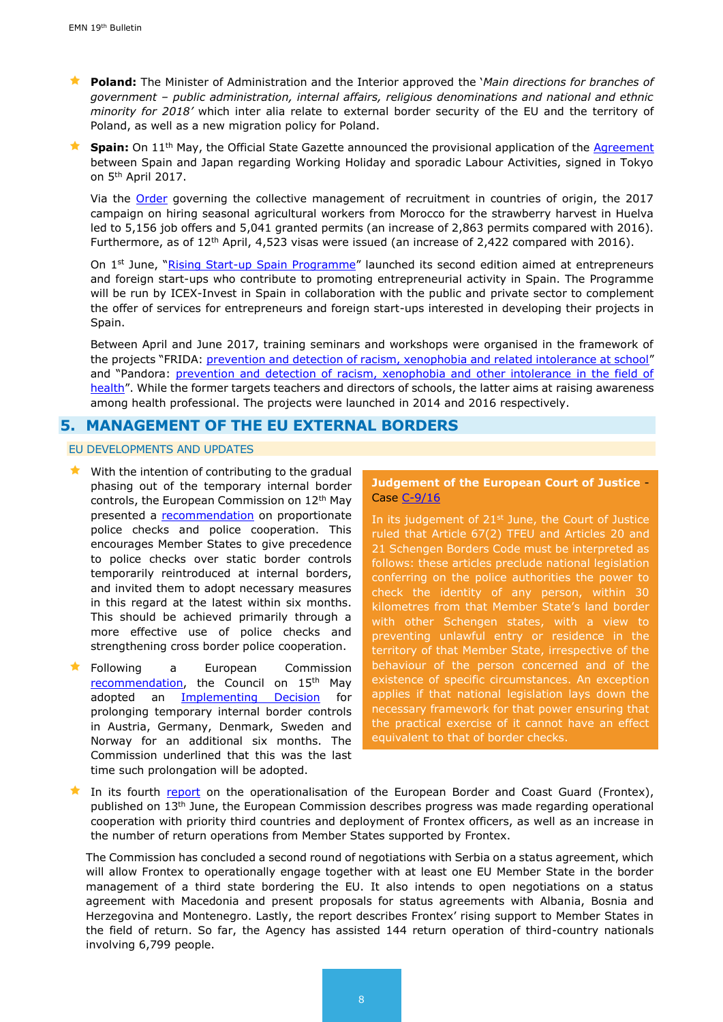**Poland:** The Minister of Administration and the Interior approved the '*Main directions for branches of government – public administration, internal affairs, religious denominations and national and ethnic minority for 2018'* which inter alia relate to external border security of the EU and the territory of Poland, as well as a new migration policy for Poland.

**Spain:** On 11<sup>th</sup> May, the Official State Gazette announced the provisional application of the [Agreement](http://www.boe.es/boe/dias/2017/05/11/pdfs/BOE-A-2017-5115.pdf) between Spain and Japan regarding Working Holiday and sporadic Labour Activities, signed in Tokyo on 5th April 2017.

Via the [Order](https://www.boe.es/boe/dias/2016/12/29/pdfs/BOE-A-2016-12463.pdf) governing the collective management of recruitment in countries of origin, the 2017 campaign on hiring seasonal agricultural workers from Morocco for the strawberry harvest in Huelva led to 5,156 job offers and 5,041 granted permits (an increase of 2,863 permits compared with 2016). Furthermore, as of 12th April, 4,523 visas were issued (an increase of 2,422 compared with 2016).

On 1<sup>st</sup> June, "[Rising Start-up Spain Programme](http://www.investinspain.org/invest/en/rising/index.html)" launched its second edition aimed at entrepreneurs and foreign start-ups who contribute to promoting entrepreneurial activity in Spain. The Programme will be run by ICEX-Invest in Spain in collaboration with the public and private sector to complement the offer of services for entrepreneurs and foreign start-ups interested in developing their projects in Spain.

Between April and June 2017, training seminars and workshops were organised in the framework of the projects "FRIDA: [prevention and detection of racism, xenophobia and related intolerance at school](http://www.empleo.gob.es/oberaxe/ficheros/documentos/Triptico_PrevencionYDeteccionDelRacismo_en.pdf)" and "Pandora: prevention and detection of racism, xenophobia and other intolerance in the field of [health](http://www.empleo.gob.es/oberaxe/ficheros/documentos/Triptico_PrevDetRacismoXenofobia_AmbitoSanitario_en.pdf)". While the former targets teachers and directors of schools, the latter aims at raising awareness among health professional. The projects were launched in 2014 and 2016 respectively.

# <span id="page-7-0"></span>**5. MANAGEMENT OF THE EU EXTERNAL BORDERS**

#### EU DEVELOPMENTS AND UPDATES

- $\star$  With the intention of contributing to the gradual phasing out of the temporary internal border controls, the European Commission on 12th May presented a **recommendation** on proportionate police checks and police cooperation. This encourages Member States to give precedence to police checks over static border controls temporarily reintroduced at internal borders, and invited them to adopt necessary measures in this regard at the latest within six months. This should be achieved primarily through a more effective use of police checks and strengthening cross border police cooperation.
- Following a European Commission [recommendation,](http://www.europeanmigrationlaw.eu/documents/COM(2017)226-Proposal_on_temporary_internal_border_control_en.pdf) the Council on 15<sup>th</sup> May adopted an **[Implementing Decision](http://www.consilium.europa.eu/en/press/press-releases/2017/05/11-schengen-area-six-month-prolongation-internal-border-controls/?utm_source=dsms-auto&utm_medium=email&utm_campaign=Schengen+area%3a+Council+recommends+up+to+six+month+prolongation+of+internal+border+controls)** for prolonging temporary internal border controls in Austria, Germany, Denmark, Sweden and Norway for an additional six months. The Commission underlined that this was the last time such prolongation will be adopted.

#### **Judgement of the European Court of Justice** - Case [C-9/16](http://curia.europa.eu/juris/document/document_print.jsf?doclang=EN&text=&pageIndex=0&part=1&mode=lst&docid=192045&occ=first&dir=&cid=214767)

In its judgement of 21<sup>st</sup> June, the Court of Justice ruled that Article 67(2) TFEU and Articles 20 and 21 Schengen Borders Code must be interpreted as follows: these articles preclude national legislation conferring on the police authorities the power to check the identity of any person, within 30 kilometres from that Member State's land border with other Schengen states, with a view to preventing unlawful entry or residence in the territory of that Member State, irrespective of the behaviour of the person concerned and of the existence of specific circumstances. An exception applies if that national legislation lays down the necessary framework for that power ensuring that the practical exercise of it cannot have an effect equivalent to that of border checks.

In its fourth [report](https://ec.europa.eu/home-affairs/sites/homeaffairs/files/what-we-do/policies/european-agenda-security/20170613_report_on_the_operationalisation_of_the_european_border_and_coast_guard_en.pdf?utm_source=ECRE+Newsletters&utm_campaign=d7b1bac159-EMAIL_CAMPAIGN_2017_06_23&utm_medium=email&utm_term=0_3ec9497afd-d7b1bac159-422304153) on the operationalisation of the European Border and Coast Guard (Frontex), published on 13th June, the European Commission describes progress was made regarding operational cooperation with priority third countries and deployment of Frontex officers, as well as an increase in the number of return operations from Member States supported by Frontex.

The Commission has concluded a second round of negotiations with Serbia on a status agreement, which will allow Frontex to operationally engage together with at least one EU Member State in the border management of a third state bordering the EU. It also intends to open negotiations on a status agreement with Macedonia and present proposals for status agreements with Albania, Bosnia and Herzegovina and Montenegro. Lastly, the report describes Frontex' rising support to Member States in the field of return. So far, the Agency has assisted 144 return operation of third-country nationals involving 6,799 people.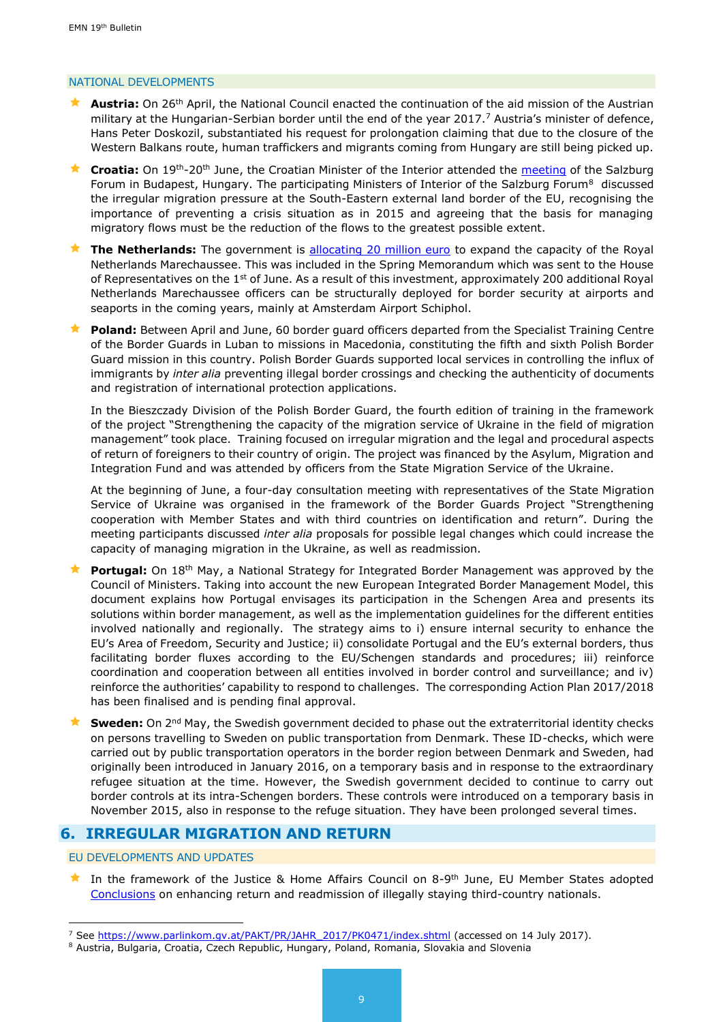#### NATIONAL DEVELOPMENTS

- **Austria:** On 26<sup>th</sup> April, the National Council enacted the continuation of the aid mission of the Austrian military at the Hungarian-Serbian border until the end of the year 2017.<sup>7</sup> Austria's minister of defence, Hans Peter Doskozil, substantiated his request for prolongation claiming that due to the closure of the Western Balkans route, human traffickers and migrants coming from Hungary are still being picked up.
- **Croatia:** On 19th-20th June, the Croatian Minister of the Interior attended the [meeting](http://www.salzburgforum.org/files/20170620_FINAL_Joint_Declaration_SF_Budapest_clean.pdf) of the Salzburg Forum in Budapest, Hungary. The participating Ministers of Interior of the Salzburg Forum<sup>8</sup> discussed the irregular migration pressure at the South-Eastern external land border of the EU, recognising the importance of preventing a crisis situation as in 2015 and agreeing that the basis for managing migratory flows must be the reduction of the flows to the greatest possible extent.
- The Netherlands: The government is [allocating 20 million euro](https://www.government.nl/latest/news/2017/06/01/two-hundred-additional-royal-netherlands-marechaussee-officers-for-border-security) to expand the capacity of the Royal Netherlands Marechaussee. This was included in the Spring Memorandum which was sent to the House of Representatives on the 1<sup>st</sup> of June. As a result of this investment, approximately 200 additional Royal Netherlands Marechaussee officers can be structurally deployed for border security at airports and seaports in the coming years, mainly at Amsterdam Airport Schiphol.
- **Poland:** Between April and June, 60 border guard officers departed from the Specialist Training Centre of the Border Guards in Luban to missions in Macedonia, constituting the fifth and sixth Polish Border Guard mission in this country. Polish Border Guards supported local services in controlling the influx of immigrants by *inter alia* preventing illegal border crossings and checking the authenticity of documents and registration of international protection applications.

In the Bieszczady Division of the Polish Border Guard, the fourth edition of training in the framework of the project "Strengthening the capacity of the migration service of Ukraine in the field of migration management" took place. Training focused on irregular migration and the legal and procedural aspects of return of foreigners to their country of origin. The project was financed by the Asylum, Migration and Integration Fund and was attended by officers from the State Migration Service of the Ukraine.

At the beginning of June, a four-day consultation meeting with representatives of the State Migration Service of Ukraine was organised in the framework of the Border Guards Project "Strengthening cooperation with Member States and with third countries on identification and return". During the meeting participants discussed *inter alia* proposals for possible legal changes which could increase the capacity of managing migration in the Ukraine, as well as readmission.

- **Portugal:** On 18<sup>th</sup> May, a National Strategy for Integrated Border Management was approved by the Council of Ministers. Taking into account the new European Integrated Border Management Model, this document explains how Portugal envisages its participation in the Schengen Area and presents its solutions within border management, as well as the implementation guidelines for the different entities involved nationally and regionally. The strategy aims to i) ensure internal security to enhance the EU's Area of Freedom, Security and Justice; ii) consolidate Portugal and the EU's external borders, thus facilitating border fluxes according to the EU/Schengen standards and procedures; iii) reinforce coordination and cooperation between all entities involved in border control and surveillance; and iv) reinforce the authorities' capability to respond to challenges. The corresponding Action Plan 2017/2018 has been finalised and is pending final approval.
- **Sweden:** On 2<sup>nd</sup> May, the Swedish government decided to phase out the extraterritorial identity checks on persons travelling to Sweden on public transportation from Denmark. These ID-checks, which were carried out by public transportation operators in the border region between Denmark and Sweden, had originally been introduced in January 2016, on a temporary basis and in response to the extraordinary refugee situation at the time. However, the Swedish government decided to continue to carry out border controls at its intra-Schengen borders. These controls were introduced on a temporary basis in November 2015, also in response to the refuge situation. They have been prolonged several times.

## **6. IRREGULAR MIGRATION AND RETURN**

EU DEVELOPMENTS AND UPDATES

1

★ In the framework of the Justice & Home Affairs Council on 8-9<sup>th</sup> June, EU Member States adopted [Conclusions](http://www.europeanmigrationlaw.eu/documents/Council%20Conclusions%20on%20enhancing%20return%20and%20readmission.pdf) on enhancing return and readmission of illegally staying third-country nationals.

<sup>&</sup>lt;sup>7</sup> See [https://www.parlinkom.gv.at/PAKT/PR/JAHR\\_2017/PK0471/index.shtml](https://www.parlinkom.gv.at/PAKT/PR/JAHR_2017/PK0471/index.shtml) (accessed on 14 July 2017).

<sup>8</sup> Austria, Bulgaria, Croatia, Czech Republic, Hungary, Poland, Romania, Slovakia and Slovenia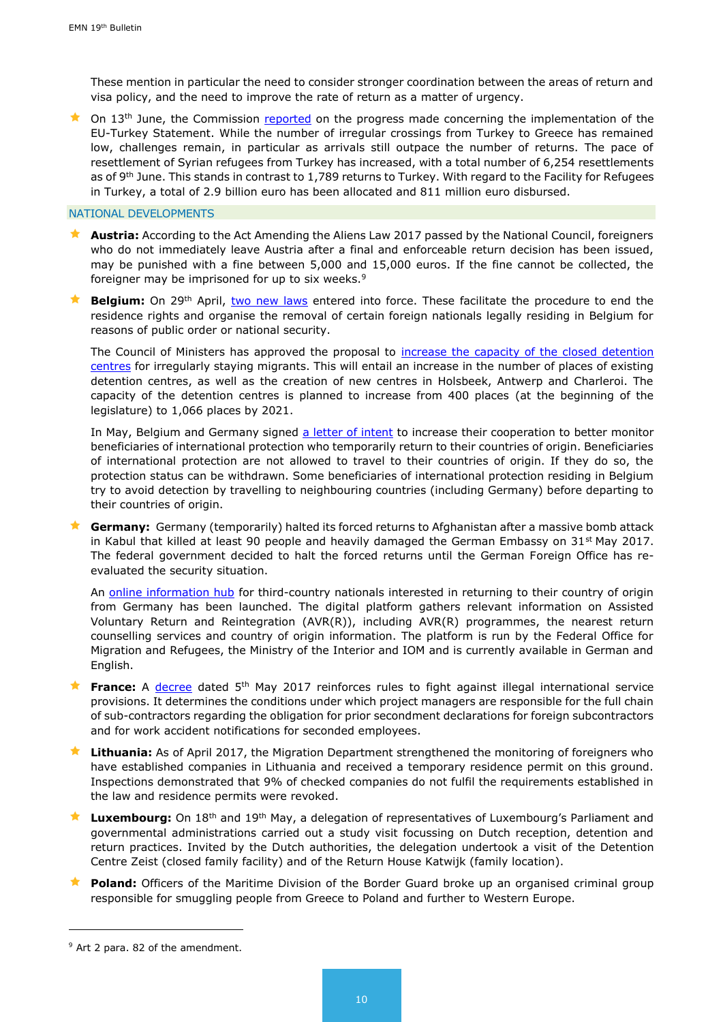These mention in particular the need to consider stronger coordination between the areas of return and visa policy, and the need to improve the rate of return as a matter of urgency.

 $\star$  On 13<sup>th</sup> June, the Commission [reported](https://ec.europa.eu/home-affairs/sites/homeaffairs/files/what-we-do/policies/european-agenda-migration/20170613_sixth_report_on_the_progress_made_in_the_implementation_of_the_eu-turkey_statement_en.pdf) on the progress made concerning the implementation of the EU-Turkey Statement. While the number of irregular crossings from Turkey to Greece has remained low, challenges remain, in particular as arrivals still outpace the number of returns. The pace of resettlement of Syrian refugees from Turkey has increased, with a total number of 6,254 resettlements as of 9<sup>th</sup> June. This stands in contrast to 1,789 returns to Turkey. With regard to the Facility for Refugees in Turkey, a total of 2.9 billion euro has been allocated and 811 million euro disbursed.

#### NATIONAL DEVELOPMENTS

- **Austria:** According to the Act Amending the Aliens Law 2017 passed by the National Council, foreigners who do not immediately leave Austria after a final and enforceable return decision has been issued, may be punished with a fine between 5,000 and 15,000 euros. If the fine cannot be collected, the foreigner may be imprisoned for up to six weeks.<sup>9</sup>
- **Belgium:** On 29<sup>th</sup> April, [two new laws](https://emnbelgium.be/news/new-laws-regarding-removal-foreign-nationals-legally-residing-belgium-who-represent-threat) entered into force. These facilitate the procedure to end the residence rights and organise the removal of certain foreign nationals legally residing in Belgium for reasons of public order or national security.

The Council of Ministers has approved the proposal to increase the capacity of the closed detention [centres](https://emnbelgium.be/news/council-ministers-approves-increase-capacity-detention-centres-irregularly-staying-migrants) for irregularly staying migrants. This will entail an increase in the number of places of existing detention centres, as well as the creation of new centres in Holsbeek, Antwerp and Charleroi. The capacity of the detention centres is planned to increase from 400 places (at the beginning of the legislature) to 1,066 places by 2021.

In May, Belgium and Germany signed [a letter of intent](https://emnbelgium.be/news/belgium-and-germany-will-increase-their-cooperation-monitor-beneficiaries-international) to increase their cooperation to better monitor beneficiaries of international protection who temporarily return to their countries of origin. Beneficiaries of international protection are not allowed to travel to their countries of origin. If they do so, the protection status can be withdrawn. Some beneficiaries of international protection residing in Belgium try to avoid detection by travelling to neighbouring countries (including Germany) before departing to their countries of origin.

 **Germany:** Germany (temporarily) halted its forced returns to Afghanistan after a massive bomb attack in Kabul that killed at least 90 people and heavily damaged the German Embassy on  $31<sup>st</sup>$  May 2017. The federal government decided to halt the forced returns until the German Foreign Office has reevaluated the security situation.

An [online information hub](https://www.returningfromgermany.de/) for third-country nationals interested in returning to their country of origin from Germany has been launched. The digital platform gathers relevant information on Assisted Voluntary Return and Reintegration (AVR(R)), including AVR(R) programmes, the nearest return counselling services and country of origin information. The platform is run by the Federal Office for Migration and Refugees, the Ministry of the Interior and IOM and is currently available in German and English.

- **France:** A [decree](https://www.legifrance.gouv.fr/eli/decret/2017/5/5/ETST1634085D/jo/texte) dated 5<sup>th</sup> May 2017 reinforces rules to fight against illegal international service provisions. It determines the conditions under which project managers are responsible for the full chain of sub-contractors regarding the obligation for prior secondment declarations for foreign subcontractors and for work accident notifications for seconded employees.
- **Lithuania:** As of April 2017, the Migration Department strengthened the monitoring of foreigners who have established companies in Lithuania and received a temporary residence permit on this ground. Inspections demonstrated that 9% of checked companies do not fulfil the requirements established in the law and residence permits were revoked.
- **Luxembourg:** On 18th and 19th May, a delegation of representatives of Luxembourg's Parliament and governmental administrations carried out a study visit focussing on Dutch reception, detention and return practices. Invited by the Dutch authorities, the delegation undertook a visit of the Detention Centre Zeist (closed family facility) and of the Return House Katwijk (family location).
- **Poland:** Officers of the Maritime Division of the Border Guard broke up an organised criminal group responsible for smuggling people from Greece to Poland and further to Western Europe.

-

<sup>&</sup>lt;sup>9</sup> Art 2 para. 82 of the amendment.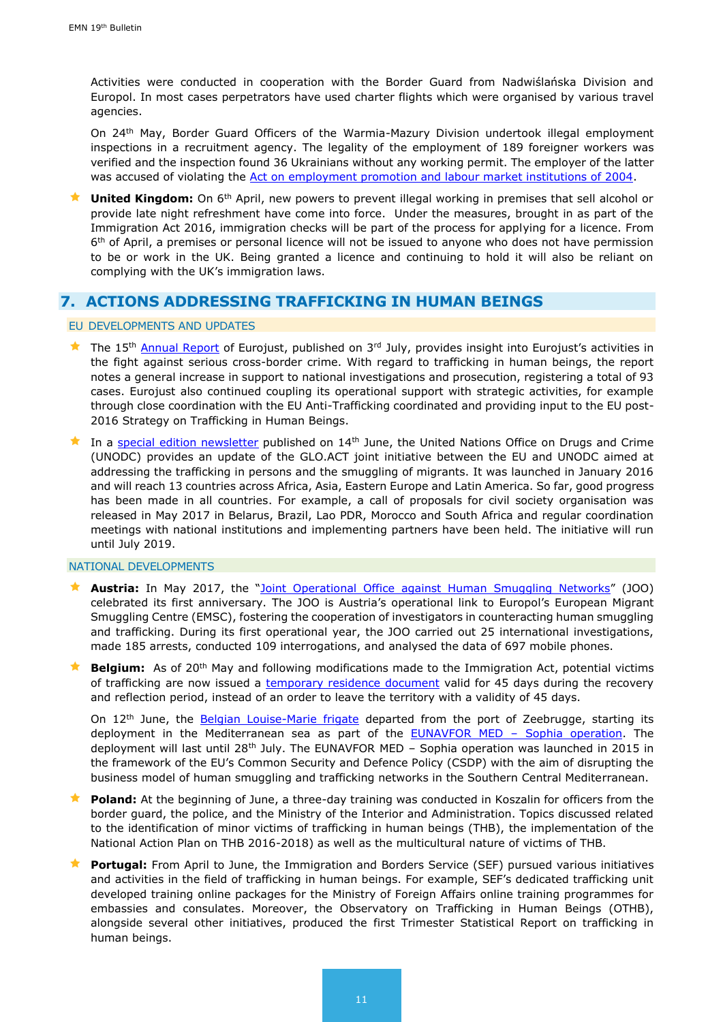Activities were conducted in cooperation with the Border Guard from Nadwiślańska Division and Europol. In most cases perpetrators have used charter flights which were organised by various travel agencies.

On 24th May, Border Guard Officers of the Warmia-Mazury Division undertook illegal employment inspections in a recruitment agency. The legality of the employment of 189 foreigner workers was verified and the inspection found 36 Ukrainians without any working permit. The employer of the latter was accused of violating the [Act on employment promotion and labour market institutions of 2004.](file:///C:/Users/39250/Downloads/Act%20on%20EmployProm%20&%20LabMarket%20Inst%2004-2006%20-%20excerpts.pdf)

**★ United Kingdom:** On 6<sup>th</sup> April, new powers to prevent illegal working in premises that sell alcohol or provide late night refreshment have come into force. Under the measures, brought in as part of the Immigration Act 2016, immigration checks will be part of the process for applying for a licence. From 6<sup>th</sup> of April, a premises or personal licence will not be issued to anyone who does not have permission to be or work in the UK. Being granted a licence and continuing to hold it will also be reliant on complying with the UK's immigration laws.

# <span id="page-10-0"></span>**7. ACTIONS ADDRESSING TRAFFICKING IN HUMAN BEINGS**

#### EU DEVELOPMENTS AND UPDATES

- The 15<sup>th</sup> [Annual Report](http://ec.europa.eu/anti-trafficking/sites/antitrafficking/files/ar2016_en_web.pdf) of Eurojust, published on 3<sup>rd</sup> July, provides insight into Eurojust's activities in the fight against serious cross-border crime. With regard to trafficking in human beings, the report notes a general increase in support to national investigations and prosecution, registering a total of 93 cases. Eurojust also continued coupling its operational support with strategic activities, for example through close coordination with the EU Anti-Trafficking coordinated and providing input to the EU post-2016 Strategy on Trafficking in Human Beings.
- In a [special edition newsletter](http://ec.europa.eu/anti-trafficking/sites/antitrafficking/files/glo.act_newsletter_special_edition_june_2017.pdf) published on  $14<sup>th</sup>$  June, the United Nations Office on Drugs and Crime (UNODC) provides an update of the GLO.ACT joint initiative between the EU and UNODC aimed at addressing the trafficking in persons and the smuggling of migrants. It was launched in January 2016 and will reach 13 countries across Africa, Asia, Eastern Europe and Latin America. So far, good progress has been made in all countries. For example, a call of proposals for civil society organisation was released in May 2017 in Belarus, Brazil, Lao PDR, Morocco and South Africa and regular coordination meetings with national institutions and implementing partners have been held. The initiative will run until July 2019.

#### NATIONAL DEVELOPMENTS

- **Austria:** In May 2017, the "[Joint Operational Office against](https://www.europol.europa.eu/newsroom/news/joint-operational-office-opened-in-vienna) Human Smuggling Networks" (JOO) celebrated its first anniversary. The JOO is Austria's operational link to Europol's European Migrant Smuggling Centre (EMSC), fostering the cooperation of investigators in counteracting human smuggling and trafficking. During its first operational year, the JOO carried out 25 international investigations, made 185 arrests, conducted 109 interrogations, and analysed the data of 697 mobile phones.
- **Belgium:** As of 20<sup>th</sup> May and following modifications made to the Immigration Act, potential victims of trafficking are now issued a [temporary residence document](https://emnbelgium.be/news/new-temporary-residence-document-potential-victims-trafficking-belgium) valid for 45 days during the recovery and reflection period, instead of an order to leave the territory with a validity of 45 days.

On 12<sup>th</sup> June, the [Belgian Louise-Marie frigate](https://emnbelgium.be/news/belgian-frigate-louise-marie-deploys-mediterranean-sea-framework-eunavfor-med-sophia-operation) departed from the port of Zeebrugge, starting its deployment in the Mediterranean sea as part of the **EUNAVFOR MED - Sophia operation**. The deployment will last until 28th July. The EUNAVFOR MED – Sophia operation was launched in 2015 in the framework of the EU's Common Security and Defence Policy (CSDP) with the aim of disrupting the business model of human smuggling and trafficking networks in the Southern Central Mediterranean.

- **Poland:** At the beginning of June, a three-day training was conducted in Koszalin for officers from the border guard, the police, and the Ministry of the Interior and Administration. Topics discussed related to the identification of minor victims of trafficking in human beings (THB), the implementation of the National Action Plan on THB 2016-2018) as well as the multicultural nature of victims of THB.
- **Portugal:** From April to June, the Immigration and Borders Service (SEF) pursued various initiatives and activities in the field of trafficking in human beings. For example, SEF's dedicated trafficking unit developed training online packages for the Ministry of Foreign Affairs online training programmes for embassies and consulates. Moreover, the Observatory on Trafficking in Human Beings (OTHB), alongside several other initiatives, produced the first Trimester Statistical Report on trafficking in human beings.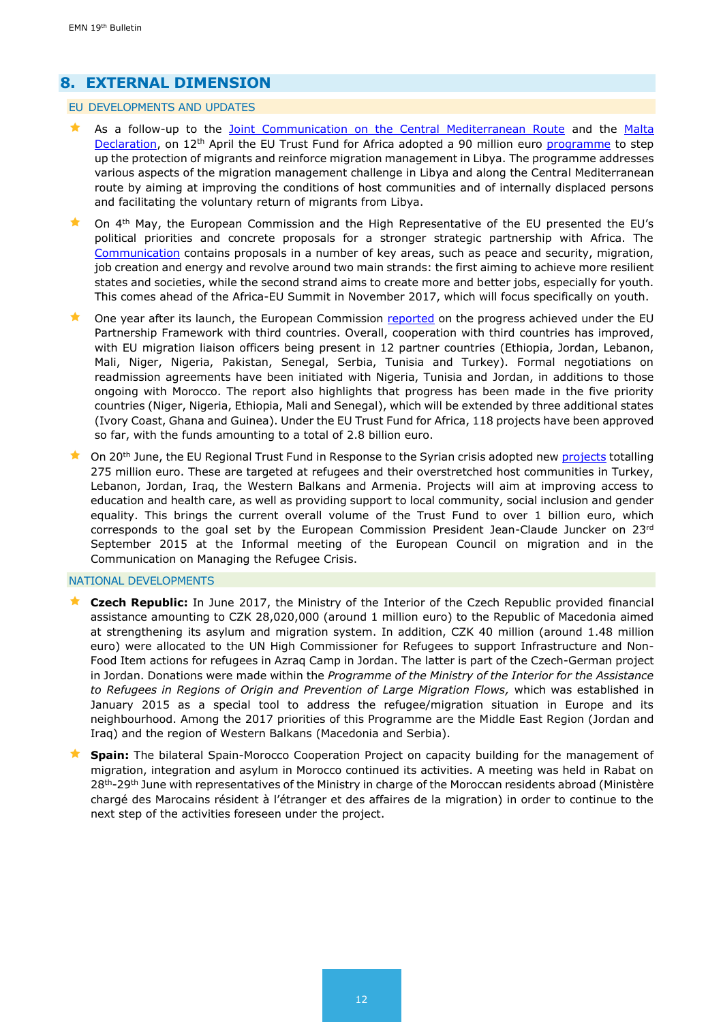# <span id="page-11-0"></span>**8. EXTERNAL DIMENSION**

#### EU DEVELOPMENTS AND UPDATES

- As a follow-up to the [Joint Communication on the Central Mediterranean Route](https://ec.europa.eu/home-affairs/sites/homeaffairs/files/what-we-do/policies/european-agenda-migration/proposal-implementation-package/docs/20170125_migration_on_the_central_mediterranean_route_-_managing_flows_saving_lives_en.pdf) and the [Malta](http://www.consilium.europa.eu/en/press/press-releases/2017/01/03-malta-declaration/)  [Declaration,](http://www.consilium.europa.eu/en/press/press-releases/2017/01/03-malta-declaration/) on 12<sup>th</sup> April the EU Trust Fund for Africa adopted a 90 million euro [programme](http://europa.eu/rapid/press-release_IP-17-951_en.htm) to step up the protection of migrants and reinforce migration management in Libya. The programme addresses various aspects of the migration management challenge in Libya and along the Central Mediterranean route by aiming at improving the conditions of host communities and of internally displaced persons and facilitating the voluntary return of migrants from Libya.
- On 4th May, the European Commission and the High Representative of the EU presented the EU's political priorities and concrete proposals for a stronger strategic partnership with Africa. The [Communication](http://www.europeanmigrationlaw.eu/documents/A%20renewed%20impetus%20of%20the%20Africa-EU%20Partnership.pdf) contains proposals in a number of key areas, such as peace and security, migration, job creation and energy and revolve around two main strands: the first aiming to achieve more resilient states and societies, while the second strand aims to create more and better jobs, especially for youth. This comes ahead of the Africa-EU Summit in November 2017, which will focus specifically on youth.
- One year after its launch, the European Commission [reported](https://eeas.europa.eu/sites/eeas/files/4th_progress_report_partnership_framework_with_third_countries_under_european_agenda_on_migration.pdf?utm_source=ECRE+Newsletters&utm_campaign=d7b1bac159-EMAIL_CAMPAIGN_2017_06_23&utm_medium=email&utm_term=0_3ec9497afd-d7b1bac159-422304153) on the progress achieved under the EU Partnership Framework with third countries. Overall, cooperation with third countries has improved, with EU migration liaison officers being present in 12 partner countries (Ethiopia, Jordan, Lebanon, Mali, Niger, Nigeria, Pakistan, Senegal, Serbia, Tunisia and Turkey). Formal negotiations on readmission agreements have been initiated with Nigeria, Tunisia and Jordan, in additions to those ongoing with Morocco. The report also highlights that progress has been made in the five priority countries (Niger, Nigeria, Ethiopia, Mali and Senegal), which will be extended by three additional states (Ivory Coast, Ghana and Guinea). Under the EU Trust Fund for Africa, 118 projects have been approved so far, with the funds amounting to a total of 2.8 billion euro.
- On 20<sup>th</sup> June, the EU Regional Trust Fund in Response to the Syrian crisis adopted new [projects](http://europa.eu/rapid/press-release_IP-17-1593_en.htm) totalling 275 million euro. These are targeted at refugees and their overstretched host communities in Turkey, Lebanon, Jordan, Iraq, the Western Balkans and Armenia. Projects will aim at improving access to education and health care, as well as providing support to local community, social inclusion and gender equality. This brings the current overall volume of the Trust Fund to over 1 billion euro, which corresponds to the goal set by the European Commission President Jean-Claude Juncker on 23rd September 2015 at the Informal meeting of the European Council on migration and in the Communication on Managing the Refugee Crisis.

#### <span id="page-11-1"></span>NATIONAL DEVELOPMENTS

- **Czech Republic:** In June 2017, the Ministry of the Interior of the Czech Republic provided financial assistance amounting to CZK 28,020,000 (around 1 million euro) to the Republic of Macedonia aimed at strengthening its asylum and migration system. In addition, CZK 40 million (around 1.48 million euro) were allocated to the UN High Commissioner for Refugees to support Infrastructure and Non-Food Item actions for refugees in Azraq Camp in Jordan. The latter is part of the Czech-German project in Jordan. Donations were made within the *Programme of the Ministry of the Interior for the Assistance to Refugees in Regions of Origin and Prevention of Large Migration Flows,* which was established in January 2015 as a special tool to address the refugee/migration situation in Europe and its neighbourhood. Among the 2017 priorities of this Programme are the Middle East Region (Jordan and Iraq) and the region of Western Balkans (Macedonia and Serbia).
- **Spain:** The bilateral Spain-Morocco Cooperation Project on capacity building for the management of migration, integration and asylum in Morocco continued its activities. A meeting was held in Rabat on 28<sup>th</sup>-29<sup>th</sup> June with representatives of the Ministry in charge of the Moroccan residents abroad (Ministère chargé des Marocains résident à l'étranger et des affaires de la migration) in order to continue to the next step of the activities foreseen under the project.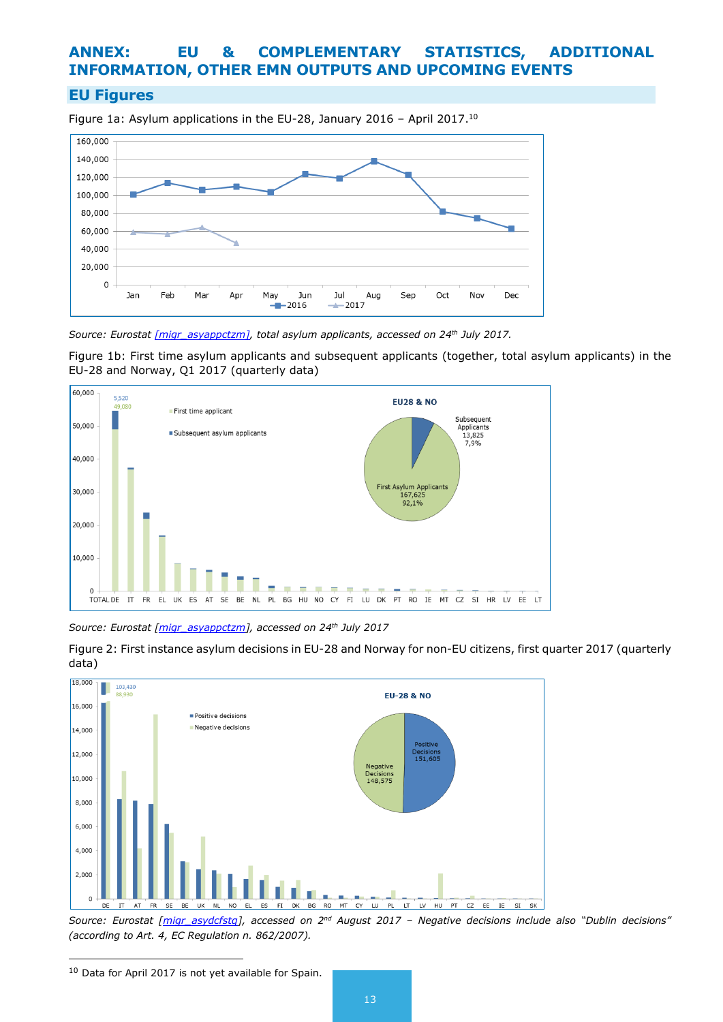# **ANNEX: EU & COMPLEMENTARY STATISTICS, ADDITIONAL INFORMATION, OTHER EMN OUTPUTS AND UPCOMING EVENTS**

## **EU Figures**

Figure 1a: Asylum applications in the EU-28, January 2016 - April 2017.<sup>10</sup>



*Source: Eurostat [\[migr\\_asyappctzm\],](http://appsso.eurostat.ec.europa.eu/nui/show.do?dataset=migr_asyappctzm&lang=en) total asylum applicants, accessed on 24th July 2017.*

Figure 1b: First time asylum applicants and subsequent applicants (together, total asylum applicants) in the EU-28 and Norway, Q1 2017 (quarterly data)



*Source: Eurostat [\[migr\\_asyappctzm\]](http://appsso.eurostat.ec.europa.eu/nui/show.do?dataset=migr_asyappctzm&lang=en), accessed on 24th July 2017*





Source: Eurostat *[\[migr\\_asydcfstq\]](http://appsso.eurostat.ec.europa.eu/nui/show.do?dataset=migr_asydcfstq&lang=en)*, accessed on 2<sup>nd</sup> August 2017 – Negative decisions include also "Dublin decisions" *(according to Art. 4, EC Regulation n. 862/2007).*

1

<sup>10</sup> Data for April 2017 is not yet available for Spain.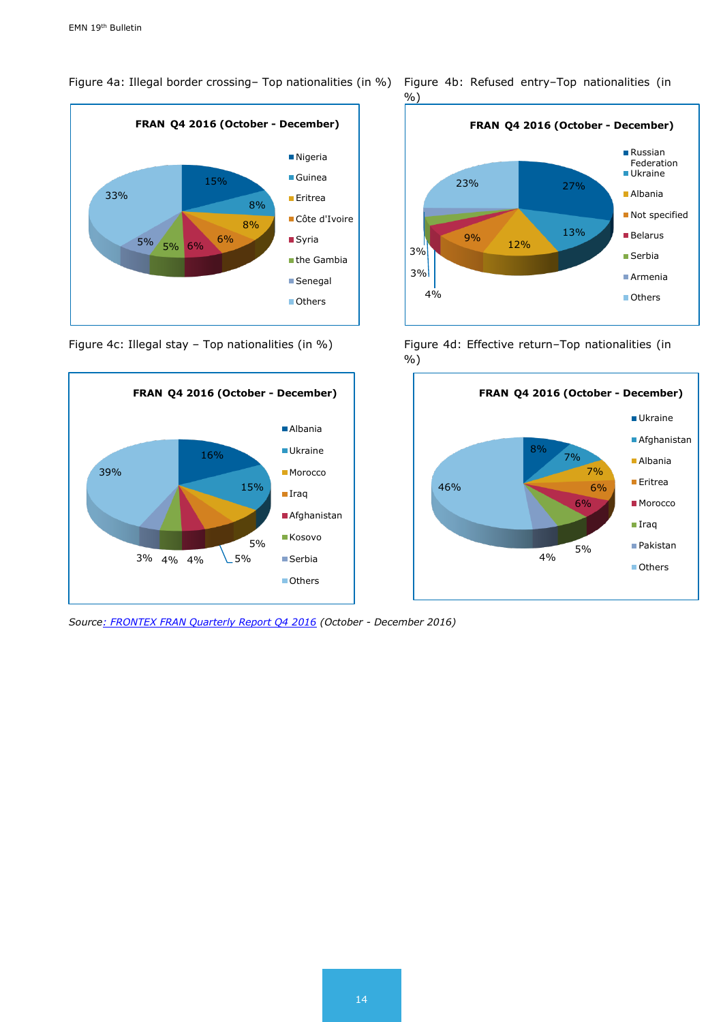Figure 4a: Illegal border crossing– Top nationalities (in %) Figure 4b: Refused entry–Top nationalities (in





*Sourc[e: FRONTEX FRAN Quarterly Report Q4 2016](http://frontex.europa.eu/assets/Publications/Risk_Analysis/FRAN_Q4_2016.pdf) (October - December 2016)*

%)



Figure 4c: Illegal stay - Top nationalities (in %) Figure 4d: Effective return-Top nationalities (in %)